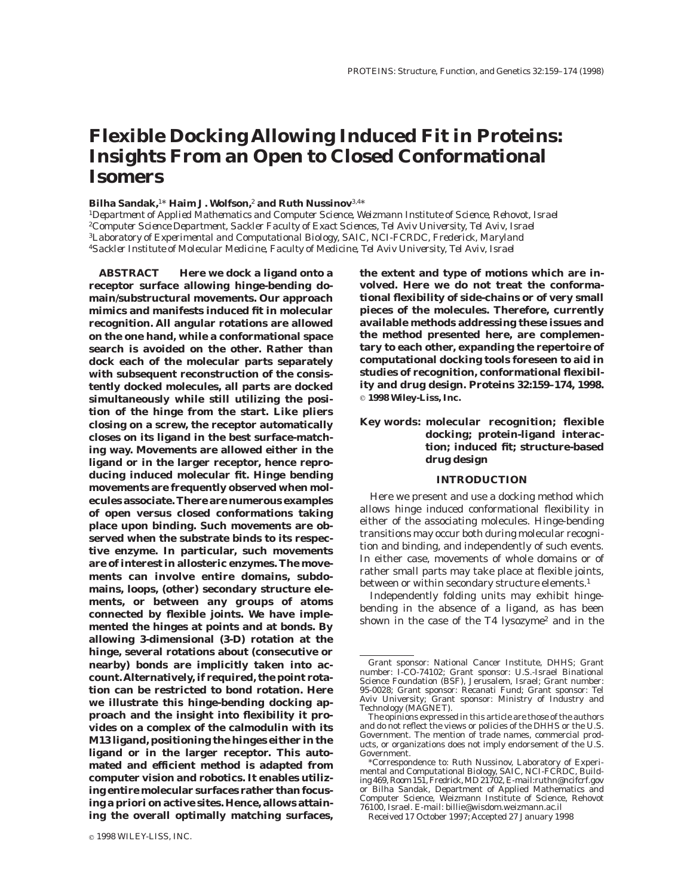# **Flexible Docking Allowing Induced Fit in Proteins: Insights From an Open to Closed Conformational Isomers**

## **Bilha Sandak,**1\* **Haim J. Wolfson,**<sup>2</sup> **and Ruth Nussinov**3,4\*

*Department of Applied Mathematics and Computer Science, Weizmann Institute of Science, Rehovot, Israel Computer Science Department, Sackler Faculty of Exact Sciences, Tel Aviv University, Tel Aviv, Israel Laboratory of Experimental and Computational Biology, SAIC, NCI-FCRDC, Frederick, Maryland Sackler Institute of Molecular Medicine, Faculty of Medicine, Tel Aviv University, Tel Aviv, Israel*

*ABSTRACT* **Here we dock a ligand onto a receptor surface allowing hinge-bending domain/substructural movements. Our approach mimics and manifests induced fit in molecular recognition. All angular rotations are allowed on the one hand, while a conformational space search is avoided on the other. Rather than dock each of the molecular parts separately with subsequent reconstruction of the consistently docked molecules, all parts are docked simultaneously while still utilizing the position of the hinge from the start. Like pliers closing on a screw, the receptor automatically closes on its ligand in the best surface-matching way. Movements are allowed either in the ligand or in the larger receptor, hence reproducing induced molecular fit. Hinge bending movements are frequently observed when molecules associate. There are numerous examples of open versus closed conformations taking place upon binding. Such movements are observed when the substrate binds to its respective enzyme. In particular, such movements are of interest in allosteric enzymes. The movements can involve entire domains, subdomains, loops, (other) secondary structure elements, or between any groups of atoms connected by flexible joints. We have implemented the hinges at points and at bonds. By allowing 3-dimensional (3-D) rotation at the hinge, several rotations about (consecutive or nearby) bonds are implicitly taken into account. Alternatively, if required, the point rotation can be restricted to bond rotation. Here we illustrate this hinge-bending docking approach and the insight into flexibility it provides on a complex of the calmodulin with its M13 ligand, positioning the hinges either in the ligand or in the larger receptor. This automated and efficient method is adapted from computer vision and robotics. It enables utilizing entire molecular surfaces rather than focusing a priori on active sites. Hence, allows attaining the overall optimally matching surfaces,**

**the extent and type of motions which are involved. Here we do not treat the conformational flexibility of side-chains or of very small pieces of the molecules. Therefore, currently available methods addressing these issues and the method presented here, are complementary to each other, expanding the repertoire of computational docking tools foreseen to aid in studies of recognition, conformational flexibility and drug design. Proteins 32:159–174, 1998.**  $© 1998 Wiley-Liss, Inc.$ 

# **Key words: molecular recognition; flexible docking; protein-ligand interaction; induced fit; structure-based drug design**

## **INTRODUCTION**

Here we present and use a docking method which allows hinge induced conformational flexibility in either of the associating molecules. Hinge-bending transitions may occur both during molecular recognition and binding, and independently of such events. In either case, movements of whole domains or of rather small parts may take place at flexible joints, between or within secondary structure elements.<sup>1</sup>

Independently folding units may exhibit hingebending in the absence of a ligand, as has been shown in the case of the T4 lysozyme<sup>2</sup> and in the

Grant sponsor: National Cancer Institute, DHHS; Grant number: I-CO-74102; Grant sponsor: U.S.-Israel Binational Science Foundation (BSF), Jerusalem, Israel; Grant number: 95-0028; Grant sponsor: Recanati Fund; Grant sponsor: Tel Aviv University; Grant sponsor: Ministry of Industry and Technology (MAGNET).

The opinions expressed in this article are those of the authors and do not reflect the views or policies of the DHHS or the U.S. Government. The mention of trade names, commercial products, or organizations does not imply endorsement of the U.S. Government.

<sup>\*</sup>Correspondence to: Ruth Nussinov, Laboratory of Experimental and Computational Biology, SAIC, NCI-FCRDC, Build-ing 469, Room 151, Fredrick, MD 21702, E-mail:ruthn@ncifcrf.gov or Bilha Sandak, Department of Applied Mathematics and Computer Science, Weizmann Institute of Science, Rehovot 76100, Israel. E-mail: billie@wisdom.weizmann.ac.il

Received 17 October 1997; Accepted 27 January 1998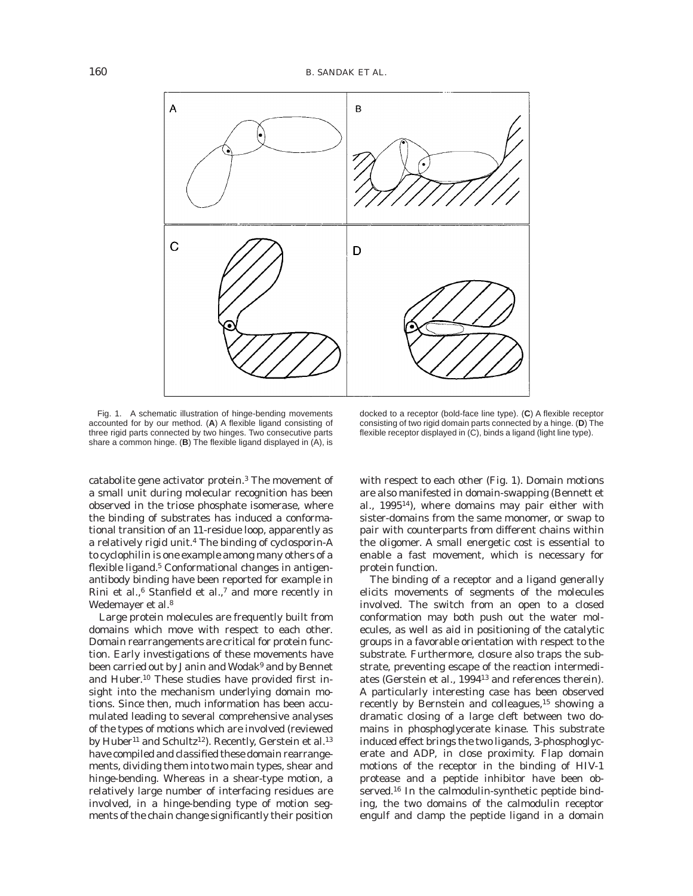

Fig. 1. A schematic illustration of hinge-bending movements accounted for by our method. (**A**) A flexible ligand consisting of three rigid parts connected by two hinges. Two consecutive parts share a common hinge. (**B**) The flexible ligand displayed in (A), is

docked to a receptor (bold-face line type). (**C**) A flexible receptor consisting of two rigid domain parts connected by a hinge. (**D**) The flexible receptor displayed in (C), binds a ligand (light line type).

catabolite gene activator protein.3 The movement of a small unit during molecular recognition has been observed in the triose phosphate isomerase, where the binding of substrates has induced a conformational transition of an 11-residue loop, apparently as a relatively rigid unit.4 The binding of cyclosporin-A to cyclophilin is one example among many others of a flexible ligand.<sup>5</sup> Conformational changes in antigenantibody binding have been reported for example in Rini et al., $6$  Stanfield et al., $7$  and more recently in Wedemayer et al.<sup>8</sup>

Large protein molecules are frequently built from domains which move with respect to each other. Domain rearrangements are critical for protein function. Early investigations of these movements have been carried out by Janin and Wodak<sup>9</sup> and by Bennet and Huber.10 These studies have provided first insight into the mechanism underlying domain motions. Since then, much information has been accumulated leading to several comprehensive analyses of the types of motions which are involved (reviewed by Huber<sup>11</sup> and Schultz<sup>12</sup>). Recently, Gerstein et al.<sup>13</sup> have compiled and classified these domain rearrangements, dividing them into two main types, shear and hinge-bending. Whereas in a shear-type motion, a relatively large number of interfacing residues are involved, in a hinge-bending type of motion segments of the chain change significantly their position with respect to each other (Fig. 1). Domain motions are also manifested in domain-swapping (Bennett et al., 199514), where domains may pair either with sister-domains from the same monomer, or swap to pair with counterparts from different chains within the oligomer. A small energetic cost is essential to enable a fast movement, which is necessary for protein function.

The binding of a receptor and a ligand generally elicits movements of segments of the molecules involved. The switch from an open to a closed conformation may both push out the water molecules, as well as aid in positioning of the catalytic groups in a favorable orientation with respect to the substrate. Furthermore, closure also traps the substrate, preventing escape of the reaction intermediates (Gerstein et al., 199413 and references therein). A particularly interesting case has been observed recently by Bernstein and colleagues,15 showing a dramatic closing of a large cleft between two domains in phosphoglycerate kinase. This substrate induced effect brings the two ligands, 3-phosphoglycerate and ADP, in close proximity. Flap domain motions of the receptor in the binding of HIV-1 protease and a peptide inhibitor have been observed.16 In the calmodulin-synthetic peptide binding, the two domains of the calmodulin receptor engulf and clamp the peptide ligand in a domain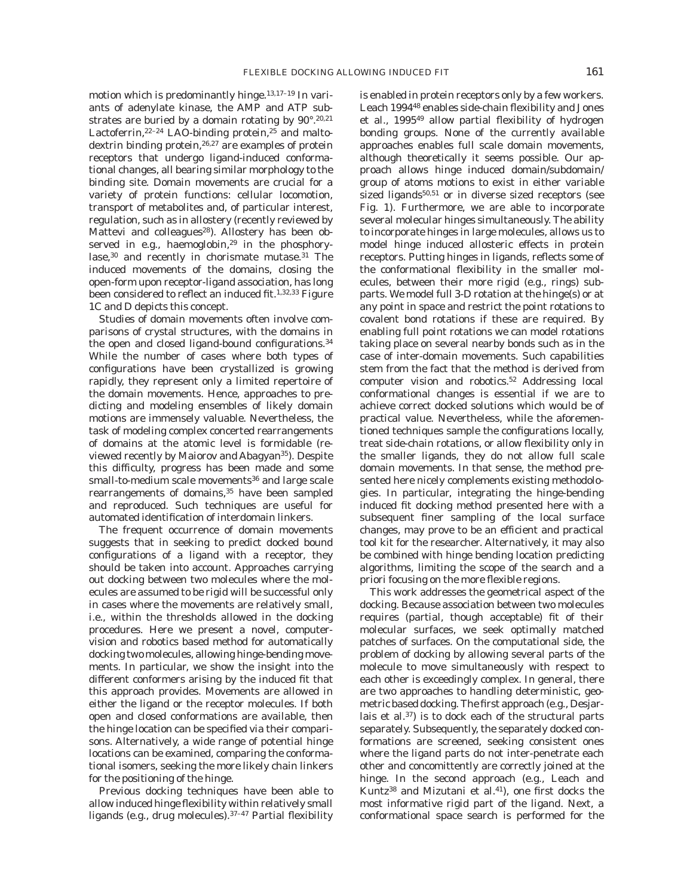motion which is predominantly hinge. $13,17-19$  In variants of adenylate kinase, the AMP and ATP substrates are buried by a domain rotating by  $90^{\circ}.^{20,21}$ Lactoferrin,<sup>22-24</sup> LAO-binding protein,<sup>25</sup> and maltodextrin binding protein,  $26,27$  are examples of protein receptors that undergo ligand-induced conformational changes, all bearing similar morphology to the binding site. Domain movements are crucial for a variety of protein functions: cellular locomotion, transport of metabolites and, of particular interest, regulation, such as in allostery (recently reviewed by Mattevi and colleagues<sup>28</sup>). Allostery has been observed in e.g., haemoglobin,<sup>29</sup> in the phosphorylase,<sup>30</sup> and recently in chorismate mutase.<sup>31</sup> The induced movements of the domains, closing the open-form upon receptor-ligand association, has long been considered to reflect an induced fit.<sup>1,32,33</sup> Figure 1C and D depicts this concept.

Studies of domain movements often involve comparisons of crystal structures, with the domains in the open and closed ligand-bound configurations.<sup>34</sup> While the number of cases where both types of configurations have been crystallized is growing rapidly, they represent only a limited repertoire of the domain movements. Hence, approaches to predicting and modeling ensembles of likely domain motions are immensely valuable. Nevertheless, the task of modeling complex concerted rearrangements of domains at the atomic level is formidable (reviewed recently by Maiorov and Abagyan35). Despite this difficulty, progress has been made and some small-to-medium scale movements<sup>36</sup> and large scale rearrangements of domains,<sup>35</sup> have been sampled and reproduced. Such techniques are useful for automated identification of interdomain linkers.

The frequent occurrence of domain movements suggests that in seeking to predict docked bound configurations of a ligand with a receptor, they should be taken into account. Approaches carrying out docking between two molecules where the molecules are assumed to be rigid will be successful only in cases where the movements are relatively small, i.e., within the thresholds allowed in the docking procedures. Here we present a novel, computervision and robotics based method for automatically docking two molecules, allowing hinge-bending movements. In particular, we show the insight into the different conformers arising by the induced fit that this approach provides. Movements are allowed in either the ligand or the receptor molecules. If both open and closed conformations are available, then the hinge location can be specified via their comparisons. Alternatively, a wide range of potential hinge locations can be examined, comparing the conformational isomers, seeking the more likely chain linkers for the positioning of the hinge.

Previous docking techniques have been able to allow induced hinge flexibility within relatively small ligands (e.g., drug molecules).37–47 Partial flexibility is enabled in protein receptors only by a few workers. Leach 199448 enables side-chain flexibility and Jones et al., 199549 allow partial flexibility of hydrogen bonding groups. None of the currently available approaches enables full scale domain movements, although theoretically it seems possible. Our approach allows hinge induced domain/subdomain/ group of atoms motions to exist in either variable sized ligands<sup>50,51</sup> or in diverse sized receptors (see Fig. 1). Furthermore, we are able to incorporate several molecular hinges simultaneously. The ability to incorporate hinges in large molecules, allows us to model hinge induced allosteric effects in protein receptors. Putting hinges in ligands, reflects some of the conformational flexibility in the smaller molecules, between their more rigid (e.g., rings) subparts. We model full 3-D rotation at the hinge(s) or at any point in space and restrict the point rotations to covalent bond rotations if these are required. By enabling full point rotations we can model rotations taking place on several nearby bonds such as in the case of inter-domain movements. Such capabilities stem from the fact that the method is derived from computer vision and robotics.52 Addressing local conformational changes is essential if we are to achieve correct docked solutions which would be of practical value. Nevertheless, while the aforementioned techniques sample the configurations locally, treat side-chain rotations, or allow flexibility only in the smaller ligands, they do not allow full scale domain movements. In that sense, the method presented here nicely complements existing methodologies. In particular, integrating the hinge-bending induced fit docking method presented here with a subsequent finer sampling of the local surface changes, may prove to be an efficient and practical tool kit for the researcher. Alternatively, it may also be combined with hinge bending location predicting algorithms, limiting the scope of the search and a priori focusing on the more flexible regions.

This work addresses the geometrical aspect of the docking. Because association between two molecules requires (partial, though acceptable) fit of their molecular surfaces, we seek optimally matched patches of surfaces. On the computational side, the problem of docking by allowing several parts of the molecule to move simultaneously with respect to each other is exceedingly complex. In general, there are two approaches to handling deterministic, geometric based docking. The first approach (e.g., Desjarlais et al.37) is to dock each of the structural parts separately. Subsequently, the separately docked conformations are screened, seeking consistent ones where the ligand parts do not inter-penetrate each other and concomittently are correctly joined at the hinge. In the second approach (e.g., Leach and Kuntz $38$  and Mizutani et al. $41$ ), one first docks the most informative rigid part of the ligand. Next, a conformational space search is performed for the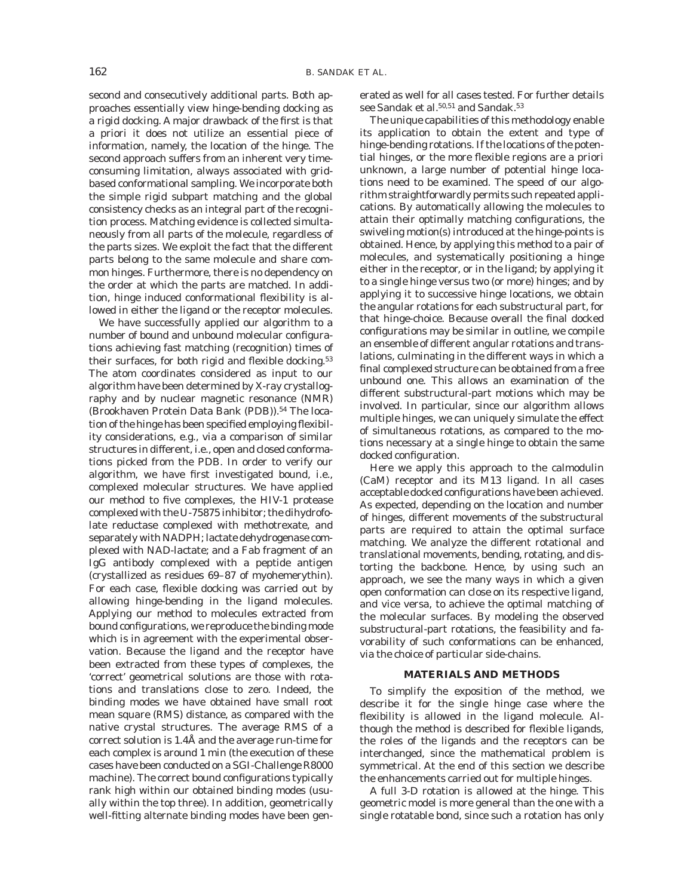second and consecutively additional parts. Both approaches essentially view hinge-bending docking as a rigid docking. A major drawback of the first is that a priori it does not utilize an essential piece of information, namely, the location of the hinge. The second approach suffers from an inherent very timeconsuming limitation, always associated with gridbased conformational sampling. We incorporate both the simple rigid subpart matching and the global consistency checks as an integral part of the recognition process. Matching evidence is collected simultaneously from all parts of the molecule, regardless of the parts sizes. We exploit the fact that the different parts belong to the same molecule and share common hinges. Furthermore, there is no dependency on the order at which the parts are matched. In addition, hinge induced conformational flexibility is allowed in either the ligand or the receptor molecules.

We have successfully applied our algorithm to a number of bound and unbound molecular configurations achieving fast matching (recognition) times of their surfaces, for both rigid and flexible docking.<sup>53</sup> The atom coordinates considered as input to our algorithm have been determined by X-ray crystallography and by nuclear magnetic resonance (NMR) (Brookhaven Protein Data Bank (PDB)).<sup>54</sup> The location of the hinge has been specified employing flexibility considerations, e.g., via a comparison of similar structures in different, i.e., open and closed conformations picked from the PDB. In order to verify our algorithm, we have first investigated bound, i.e., complexed molecular structures. We have applied our method to five complexes, the HIV-1 protease complexed with the U-75875 inhibitor; the dihydrofolate reductase complexed with methotrexate, and separately with NADPH; lactate dehydrogenase complexed with NAD-lactate; and a Fab fragment of an IgG antibody complexed with a peptide antigen (crystallized as residues 69–87 of myohemerythin). For each case, flexible docking was carried out by allowing hinge-bending in the ligand molecules. Applying our method to molecules extracted from bound configurations, we reproduce the binding mode which is in agreement with the experimental observation. Because the ligand and the receptor have been extracted from these types of complexes, the 'correct' geometrical solutions are those with rotations and translations close to zero. Indeed, the binding modes we have obtained have small root mean square (RMS) distance, as compared with the native crystal structures. The average RMS of a correct solution is 1.4Å and the average run-time for each complex is around 1 min (the execution of these cases have been conducted on a SGI-Challenge R8000 machine). The correct bound configurations typically rank high within our obtained binding modes (usually within the top three). In addition, geometrically well-fitting alternate binding modes have been generated as well for all cases tested. For further details see Sandak et al.<sup>50,51</sup> and Sandak.<sup>53</sup>

The unique capabilities of this methodology enable its application to obtain the extent and type of hinge-bending rotations. If the locations of the potential hinges, or the more flexible regions are a priori unknown, a large number of potential hinge locations need to be examined. The speed of our algorithm straightforwardly permits such repeated applications. By automatically allowing the molecules to attain their optimally matching configurations, the swiveling motion(s) introduced at the hinge-points is obtained. Hence, by applying this method to a pair of molecules, and systematically positioning a hinge either in the receptor, or in the ligand; by applying it to a single hinge versus two (or more) hinges; and by applying it to successive hinge locations, we obtain the angular rotations for each substructural part, for that hinge-choice. Because overall the final docked configurations may be similar in outline, we compile an ensemble of different angular rotations and translations, culminating in the different ways in which a final complexed structure can be obtained from a free unbound one. This allows an examination of the different substructural-part motions which may be involved. In particular, since our algorithm allows multiple hinges, we can uniquely simulate the effect of simultaneous rotations, as compared to the motions necessary at a single hinge to obtain the same docked configuration.

Here we apply this approach to the calmodulin (CaM) receptor and its M13 ligand. In all cases acceptable docked configurations have been achieved. As expected, depending on the location and number of hinges, different movements of the substructural parts are required to attain the optimal surface matching. We analyze the different rotational and translational movements, bending, rotating, and distorting the backbone. Hence, by using such an approach, we see the many ways in which a given open conformation can close on its respective ligand, and vice versa, to achieve the optimal matching of the molecular surfaces. By modeling the observed substructural-part rotations, the feasibility and favorability of such conformations can be enhanced, via the choice of particular side-chains.

#### **MATERIALS AND METHODS**

To simplify the exposition of the method, we describe it for the single hinge case where the flexibility is allowed in the ligand molecule. Although the method is described for flexible ligands, the roles of the ligands and the receptors can be interchanged, since the mathematical problem is symmetrical. At the end of this section we describe the enhancements carried out for multiple hinges.

A full 3-D rotation is allowed at the hinge. This geometric model is more general than the one with a single rotatable bond, since such a rotation has only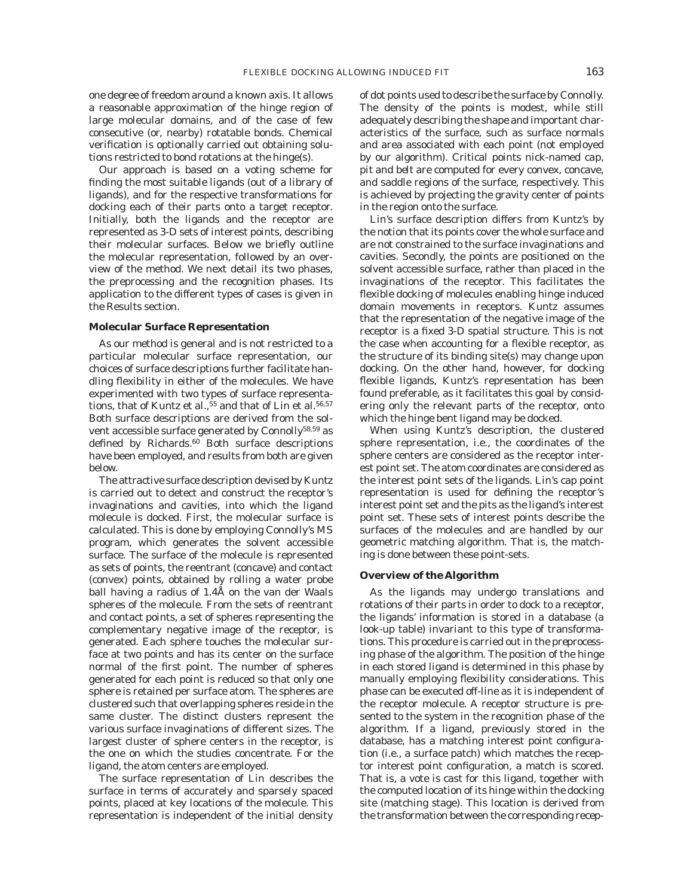one degree of freedom around a known axis. It allows a reasonable approximation of the hinge region of large molecular domains, and of the case of few consecutive (or, nearby) rotatable bonds. Chemical verification is optionally carried out obtaining solutions restricted to bond rotations at the hinge(s).

Our approach is based on a voting scheme for finding the most suitable ligands (out of a library of ligands), and for the respective transformations for docking each of their parts onto a target receptor. Initially, both the ligands and the receptor are represented as 3-D sets of interest points, describing their molecular surfaces. Below we briefly outline the molecular representation, followed by an overview of the method. We next detail its two phases, the preprocessing and the recognition phases. Its application to the different types of cases is given in the Results section.

#### **Molecular Surface Representation**

As our method is general and is not restricted to a particular molecular surface representation, our choices of surface descriptions further facilitate handling flexibility in either of the molecules. We have experimented with two types of surface representations, that of Kuntz et al., <sup>55</sup> and that of Lin et al. <sup>56,57</sup> Both surface descriptions are derived from the solvent accessible surface generated by Connolly<sup>58,59</sup> as defined by Richards.<sup>60</sup> Both surface descriptions have been employed, and results from both are given below.

The attractive surface description devised by Kuntz is carried out to detect and construct the receptor's invaginations and cavities, into which the ligand molecule is docked. First, the molecular surface is calculated. This is done by employing Connolly's MS program, which generates the solvent accessible surface. The surface of the molecule is represented as sets of points, the reentrant (concave) and contact (convex) points, obtained by rolling a water probe ball having a radius of 1.4Å on the van der Waals spheres of the molecule. From the sets of reentrant and contact points, a set of spheres representing the complementary negative image of the receptor, is generated. Each sphere touches the molecular surface at two points and has its center on the surface normal of the first point. The number of spheres generated for each point is reduced so that only one sphere is retained per surface atom. The spheres are clustered such that overlapping spheres reside in the same cluster. The distinct clusters represent the various surface invaginations of different sizes. The largest cluster of sphere centers in the receptor, is the one on which the studies concentrate. For the ligand, the atom centers are employed.

The surface representation of Lin describes the surface in terms of accurately and sparsely spaced points, placed at key locations of the molecule. This representation is independent of the initial density of dot points used to describe the surface by Connolly. The density of the points is modest, while still adequately describing the shape and important characteristics of the surface, such as surface normals and area associated with each point (not employed by our algorithm). Critical points nick-named *cap, pit* and *belt* are computed for every convex, concave, and saddle regions of the surface, respectively. This is achieved by projecting the gravity center of points in the region onto the surface.

Lin's surface description differs from Kuntz's by the notion that its points cover the whole surface and are not constrained to the surface invaginations and cavities. Secondly, the points are positioned on the solvent accessible surface, rather than placed in the invaginations of the receptor. This facilitates the flexible docking of molecules enabling hinge induced domain movements in receptors. Kuntz assumes that the representation of the negative image of the receptor is a fixed 3-D spatial structure. This is not the case when accounting for a flexible receptor, as the structure of its binding site(s) may change upon docking. On the other hand, however, for docking flexible ligands, Kuntz's representation has been found preferable, as it facilitates this goal by considering only the relevant parts of the receptor, onto which the hinge bent ligand may be docked.

When using Kuntz's description, the clustered sphere representation, i.e., the coordinates of the sphere centers are considered as the receptor interest point set. The atom coordinates are considered as the interest point sets of the ligands. Lin's cap point representation is used for defining the receptor's interest point set and the pits as the ligand's interest point set. These sets of interest points describe the surfaces of the molecules and are handled by our geometric matching algorithm. That is, the matching is done between these point-sets.

# **Overview of the Algorithm**

As the ligands may undergo translations and rotations of their parts in order to dock to a receptor, the ligands' information is stored in a database (a look-up table) invariant to this type of transformations. This procedure is carried out in the *preprocessing* phase of the algorithm. The position of the hinge in each stored ligand is determined in this phase by manually employing flexibility considerations. This phase can be executed off-line as it is independent of the receptor molecule. A receptor structure is presented to the system in the *recognition* phase of the algorithm. If a ligand, previously stored in the database, has a matching interest point configuration (i.e., a surface patch) which matches the receptor interest point configuration, a match is scored. That is, a vote is cast for this ligand, together with the computed location of its hinge within the docking site (matching stage). This location is derived from the transformation between the corresponding recep-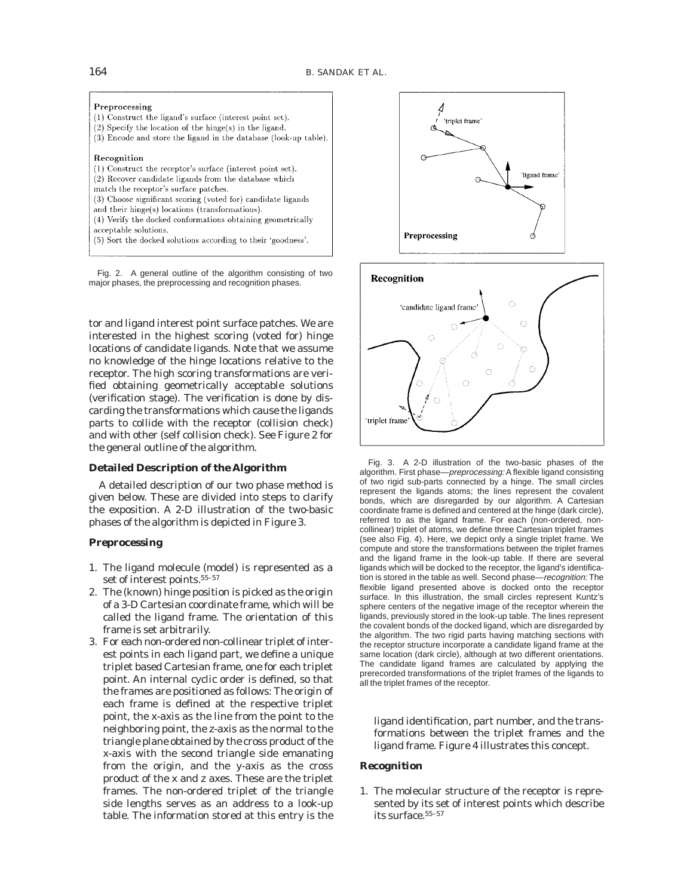#### Preprocessing

- (1) Construct the ligand's surface (interest point set).
- (2) Specify the location of the hinge(s) in the ligand.
- (3) Encode and store the ligand in the database (look-up table).

## Recognition

- (1) Construct the receptor's surface (interest point set).
- (2) Recover candidate ligands from the database which
- match the receptor's surface patches.
- (3) Choose significant scoring (voted for) candidate ligands
- and their hinge(s) locations (transformations).
- (4) Verify the docked conformations obtaining geometrically
- acceptable solutions.
- (5) Sort the docked solutions according to their 'goodness'.

Fig. 2. A general outline of the algorithm consisting of two major phases, the preprocessing and recognition phases.

tor and ligand interest point surface patches. We are interested in the highest scoring (voted for) hinge locations of candidate ligands. Note that we assume no knowledge of the hinge locations relative to the receptor. The high scoring transformations are verified obtaining geometrically acceptable solutions (verification stage). The verification is done by discarding the transformations which cause the ligands parts to collide with the receptor (collision check) and with other (self collision check). See Figure 2 for the general outline of the algorithm.

# **Detailed Description of the Algorithm**

A detailed description of our two phase method is given below. These are divided into steps to clarify the exposition. A 2-D illustration of the two-basic phases of the algorithm is depicted in Figure 3.

## *Preprocessing*

- 1. The ligand molecule (model) is represented as a set of interest points.<sup>55-57</sup>
- 2. The (known) hinge position is picked as the origin of a 3-D Cartesian coordinate frame, which will be called the ligand frame. The orientation of this frame is set arbitrarily.
- 3. For each non-ordered non-collinear triplet of interest points in each ligand part, we define a unique triplet based Cartesian frame, one for each triplet point. An internal cyclic order is defined, so that the frames are positioned as follows: The origin of each frame is defined at the respective triplet point, the x-axis as the line from the point to the neighboring point, the z-axis as the normal to the triangle plane obtained by the cross product of the x-axis with the second triangle side emanating from the origin, and the y-axis as the cross product of the x and z axes. These are the triplet frames. The non-ordered triplet of the triangle side lengths serves as an address to a look-up table. The information stored at this entry is the





Fig. 3. A 2-D illustration of the two-basic phases of the algorithm. First phase—*preprocessing:* A flexible ligand consisting of two rigid sub-parts connected by a hinge. The small circles represent the ligands atoms; the lines represent the covalent bonds, which are disregarded by our algorithm. A Cartesian coordinate frame is defined and centered at the hinge (dark circle), referred to as the ligand frame. For each (non-ordered, noncollinear) triplet of atoms, we define three Cartesian triplet frames (see also Fig. 4). Here, we depict only a single triplet frame. We compute and store the transformations between the triplet frames and the ligand frame in the look-up table. If there are several ligands which will be docked to the receptor, the ligand's identification is stored in the table as well. Second phase—recognition: The flexible ligand presented above is docked onto the receptor surface. In this illustration, the small circles represent Kuntz's sphere centers of the negative image of the receptor wherein the ligands, previously stored in the look-up table. The lines represent the covalent bonds of the docked ligand, which are disregarded by the algorithm. The two rigid parts having matching sections with the receptor structure incorporate a candidate ligand frame at the same location (dark circle), although at two different orientations. The candidate ligand frames are calculated by applying the prerecorded transformations of the triplet frames of the ligands to all the triplet frames of the receptor.

ligand identification, part number, and the transformations between the triplet frames and the ligand frame. Figure 4 illustrates this concept.

# *Recognition*

1. The molecular structure of the receptor is represented by its set of interest points which describe its surface.55–57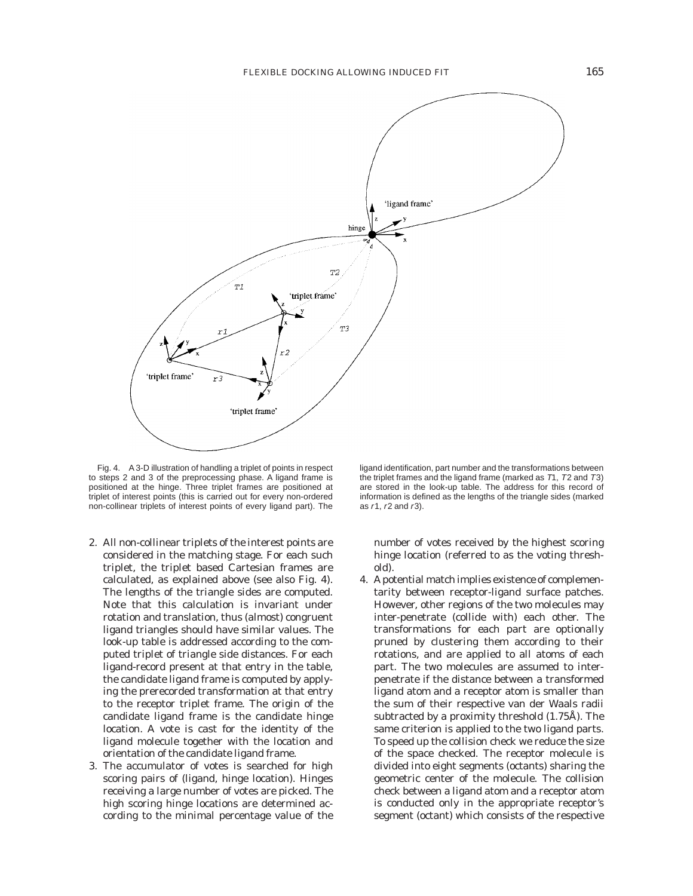

Fig. 4. A 3-D illustration of handling a triplet of points in respect to steps 2 and 3 of the preprocessing phase. A ligand frame is positioned at the hinge. Three triplet frames are positioned at triplet of interest points (this is carried out for every non-ordered non-collinear triplets of interest points of every ligand part). The

- 2. All non-collinear triplets of the interest points are considered in the matching stage. For each such triplet, the triplet based Cartesian frames are calculated, as explained above (see also Fig. 4). The lengths of the triangle sides are computed. Note that this calculation is invariant under rotation and translation, thus (almost) congruent ligand triangles should have similar values. The look-up table is addressed according to the computed triplet of triangle side distances. For each ligand-record present at that entry in the table, the candidate ligand frame is computed by applying the prerecorded transformation at that entry to the receptor triplet frame. The origin of the candidate ligand frame is the candidate hinge location. A vote is cast for the identity of the ligand molecule together with the location and orientation of the candidate ligand frame.
- 3. The accumulator of votes is searched for high scoring pairs of (ligand, hinge location). Hinges receiving a large number of votes are picked. The high scoring hinge locations are determined according to the minimal percentage value of the

ligand identification, part number and the transformations between the triplet frames and the ligand frame (marked as T1, T2 and T3) are stored in the look-up table. The address for this record of information is defined as the lengths of the triangle sides (marked as <sup>r</sup>1, <sup>r</sup>2 and <sup>r</sup>3).

number of votes received by the highest scoring hinge location (referred to as the voting threshold).

4. Apotential match implies existence of complementarity between receptor-ligand surface patches. However, other regions of the two molecules may inter-penetrate (collide with) each other. The transformations for each part are optionally pruned by clustering them according to their rotations, and are applied to all atoms of each part. The two molecules are assumed to interpenetrate if the distance between a transformed ligand atom and a receptor atom is smaller than the sum of their respective van der Waals radii subtracted by a proximity threshold (1.75Å). The same criterion is applied to the two ligand parts. To speed up the collision check we reduce the size of the space checked. The receptor molecule is divided into eight segments (octants) sharing the geometric center of the molecule. The collision check between a ligand atom and a receptor atom is conducted only in the appropriate receptor's segment (octant) which consists of the respective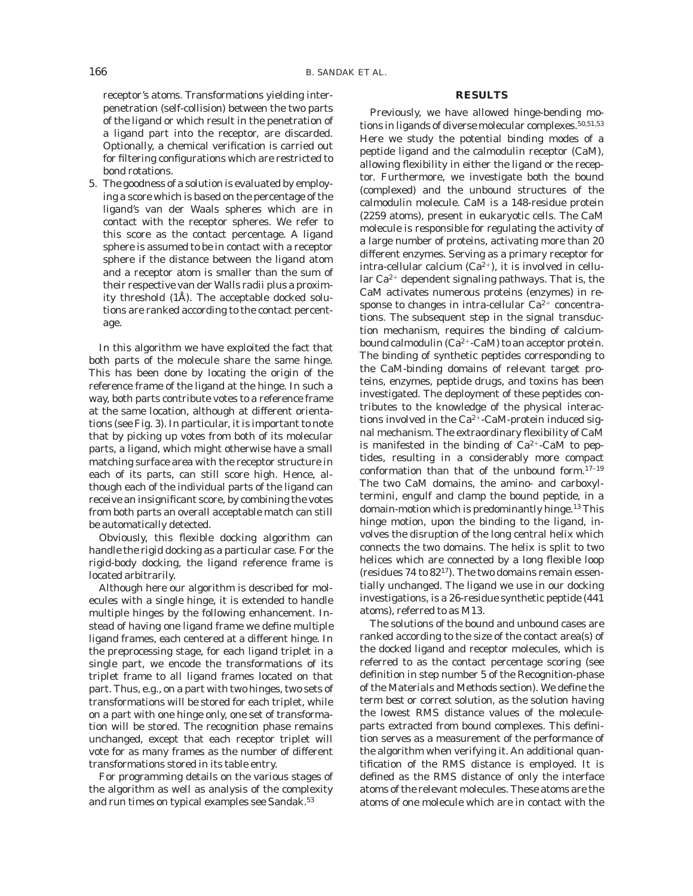receptor's atoms. Transformations yielding interpenetration (self-collision) between the two parts of the ligand or which result in the penetration of a ligand part into the receptor, are discarded. Optionally, a chemical verification is carried out for filtering configurations which are restricted to bond rotations.

5. The goodness of a solution is evaluated by employing a score which is based on the percentage of the ligand's van der Waals spheres which are in contact with the receptor spheres. We refer to this score as the contact percentage. A ligand sphere is assumed to be in contact with a receptor sphere if the distance between the ligand atom and a receptor atom is smaller than the sum of their respective van der Walls radii plus a proximity threshold (1Å). The acceptable docked solutions are ranked according to the contact percentage.

In this algorithm we have exploited the fact that both parts of the molecule share the same hinge. This has been done by locating the origin of the reference frame of the ligand at the hinge. In such a way, both parts contribute votes to a reference frame at the same location, although at different orientations (see Fig. 3). In particular, it is important to note that by picking up votes from both of its molecular parts, a ligand, which might otherwise have a small matching surface area with the receptor structure in each of its parts, can still score high. Hence, although each of the individual parts of the ligand can receive an insignificant score, by combining the votes from both parts an overall acceptable match can still be automatically detected.

Obviously, this flexible docking algorithm can handle the rigid docking as a particular case. For the rigid-body docking, the ligand reference frame is located arbitrarily.

Although here our algorithm is described for molecules with a single hinge, it is extended to handle multiple hinges by the following enhancement. Instead of having one ligand frame we define *multiple* ligand frames, each centered at a different hinge. In the preprocessing stage, for each ligand triplet in a single part, we encode the transformations of its triplet frame to all ligand frames located on that part. Thus, e.g., on a part with two hinges, two sets of transformations will be stored for each triplet, while on a part with one hinge only, one set of transformation will be stored. The recognition phase remains unchanged, except that each receptor triplet will vote for as many frames as the number of different transformations stored in its table entry.

For programming details on the various stages of the algorithm as well as analysis of the complexity and run times on typical examples see Sandak.<sup>53</sup>

# **RESULTS**

Previously, we have allowed hinge-bending motions in ligands of diverse molecular complexes.<sup>50,51,53</sup> Here we study the potential binding modes of a peptide ligand and the calmodulin receptor (CaM), allowing flexibility in either the ligand or the receptor. Furthermore, we investigate both the bound (complexed) and the unbound structures of the calmodulin molecule. CaM is a 148-residue protein (2259 atoms), present in eukaryotic cells. The CaM molecule is responsible for regulating the activity of a large number of proteins, activating more than 20 different enzymes. Serving as a primary receptor for intra-cellular calcium  $(Ca^{2+})$ , it is involved in cellular  $Ca^{2+}$  dependent signaling pathways. That is, the CaM activates numerous proteins (enzymes) in response to changes in intra-cellular  $Ca^{2+}$  concentrations. The subsequent step in the signal transduction mechanism, requires the binding of calciumbound calmodulin  $(Ca^{2+}-CaM)$  to an acceptor protein. The binding of synthetic peptides corresponding to the CaM-binding domains of relevant target proteins, enzymes, peptide drugs, and toxins has been investigated. The deployment of these peptides contributes to the knowledge of the physical interactions involved in the  $Ca^{2+}-CaM$ -protein induced signal mechanism. The extraordinary flexibility of CaM is manifested in the binding of  $Ca^{2+}-CaM$  to peptides, resulting in a considerably more compact conformation than that of the unbound form.17–19 The two CaM domains, the amino- and carboxyltermini, engulf and clamp the bound peptide, in a domain-motion which is predominantly hinge.<sup>13</sup> This hinge motion, upon the binding to the ligand, involves the disruption of the long central helix which connects the two domains. The helix is split to two helices which are connected by a long flexible loop (residues 74 to  $82^{17}$ ). The two domains remain essentially unchanged. The ligand we use in our docking investigations, is a 26-residue synthetic peptide (441 atoms), referred to as M13.

The solutions of the bound and unbound cases are ranked according to the size of the contact area(s) of the docked ligand and receptor molecules, which is referred to as the contact percentage scoring (see definition in step number 5 of the Recognition-phase of the Materials and Methods section). We define the term *best* or *correct* solution, as the solution having the lowest RMS distance values of the moleculeparts extracted from bound complexes. This definition serves as a measurement of the performance of the algorithm when verifying it. An additional quantification of the RMS distance is employed. It is defined as the RMS distance of only the interface atoms of the relevant molecules. These atoms are the atoms of one molecule which are in contact with the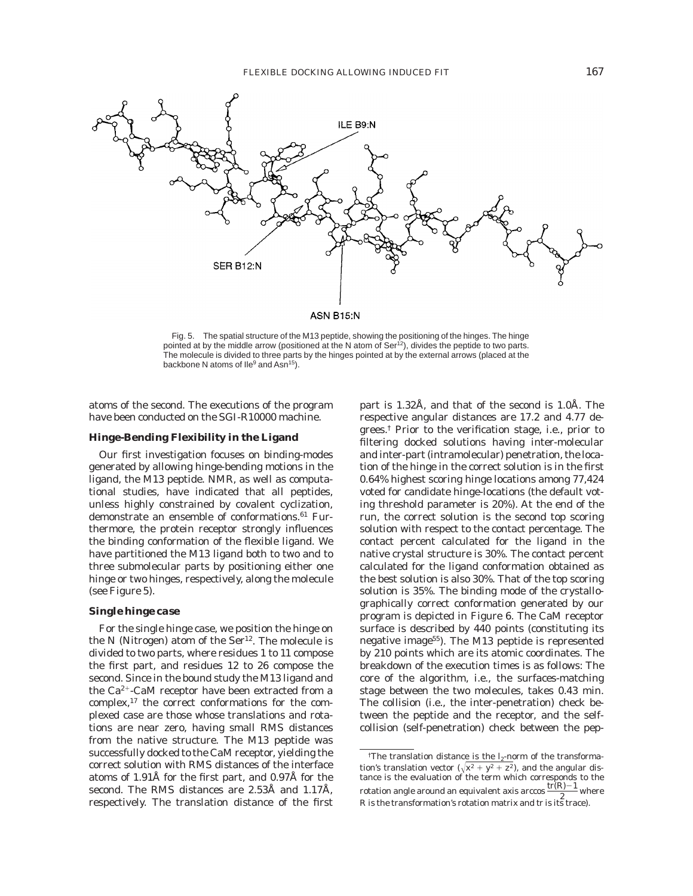

Fig. 5. The spatial structure of the M13 peptide, showing the positioning of the hinges. The hinge pointed at by the middle arrow (positioned at the N atom of Ser<sup>12</sup>), divides the peptide to two parts. The molecule is divided to three parts by the hinges pointed at by the external arrows (placed at the backbone N atoms of Ile<sup>9</sup> and Asn<sup>15</sup>).

atoms of the second. The executions of the program have been conducted on the SGI-R10000 machine.

#### **Hinge-Bending Flexibility in the Ligand**

Our first investigation focuses on binding-modes generated by allowing hinge-bending motions in the ligand, the M13 peptide. NMR, as well as computational studies, have indicated that all peptides, unless highly constrained by covalent cyclization, demonstrate an ensemble of conformations.<sup>61</sup> Furthermore, the protein receptor strongly influences the binding conformation of the flexible ligand. We have partitioned the M13 ligand both to two and to three submolecular parts by positioning either one hinge or two hinges, respectively, along the molecule (see Figure 5).

# *Single hinge case*

For the single hinge case, we position the hinge on the N (Nitrogen) atom of the Ser<sup>12</sup>. The molecule is divided to two parts, where residues 1 to 11 compose the first part, and residues 12 to 26 compose the second. Since in the bound study the M13 ligand and the Ca<sup>2+</sup>-CaM receptor have been extracted from a complex,17 the correct conformations for the complexed case are those whose translations and rotations are near zero, having small RMS distances from the native structure. The M13 peptide was successfully docked to the CaM receptor, yielding the correct solution with RMS distances of the interface atoms of 1.91Å for the first part, and 0.97Å for the second. The RMS distances are 2.53Å and 1.17Å, respectively. The translation distance of the first

part is 1.32Å, and that of the second is 1.0Å. The respective angular distances are 17.2 and 4.77 degrees.† Prior to the verification stage, i.e., prior to filtering docked solutions having inter-molecular and inter-part (intramolecular) penetration, the location of the hinge in the correct solution is in the first 0.64% highest scoring hinge locations among 77,424 voted for candidate hinge-locations (the default voting threshold parameter is 20%). At the end of the run, the correct solution is the second top scoring solution with respect to the contact percentage. The contact percent calculated for the ligand in the native crystal structure is 30%. The contact percent calculated for the ligand conformation obtained as the best solution is also 30%. That of the top scoring solution is 35%. The binding mode of the crystallographically correct conformation generated by our program is depicted in Figure 6. The CaM receptor surface is described by 440 points (constituting its negative image<sup>55</sup>). The M13 peptide is represented by 210 points which are its atomic coordinates. The breakdown of the execution times is as follows: The core of the algorithm, i.e., the surfaces-matching stage between the two molecules, takes 0.43 min. The collision (i.e., the inter-penetration) check between the peptide and the receptor, and the selfcollision (self-penetration) check between the pep-

<sup>&</sup>lt;sup>†</sup>The translation distance is the  $I_2$ -norm of the transformation's translation vector  $(\sqrt{x^2 + y^2 + z^2})$ , and the angular distance is the evaluation of the term which corresponds to the rotation angle around an equivalent axis  $\arccos \frac{tr(R)-1}{2}$  where *R* is the transformation's rotation matrix and *tr* is its trace).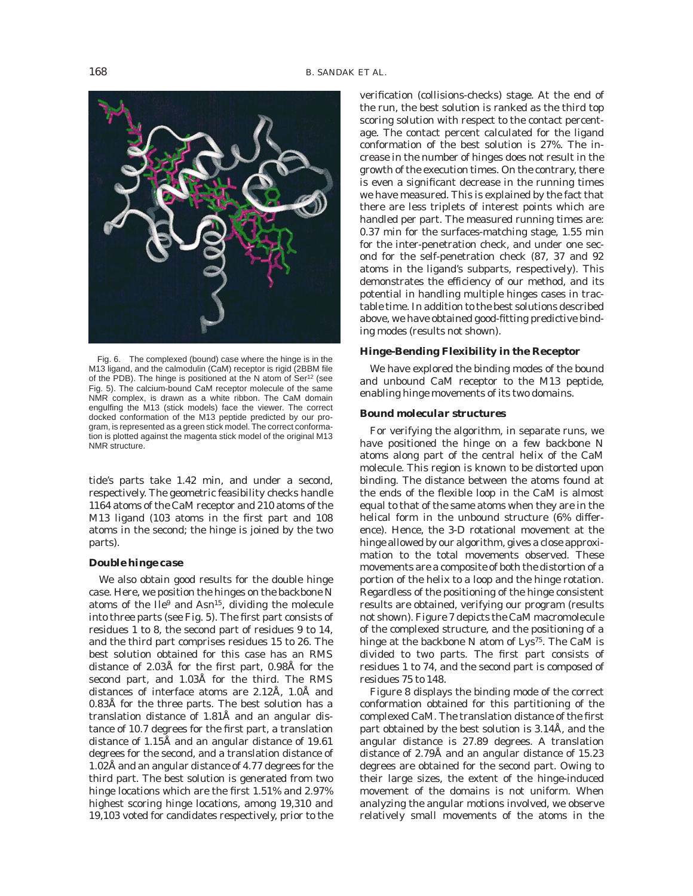

Fig. 6. The complexed (bound) case where the hinge is in the M13 ligand, and the calmodulin (CaM) receptor is rigid (2BBM file of the PDB). The hinge is positioned at the N atom of Ser12 (see Fig. 5). The calcium-bound CaM receptor molecule of the same NMR complex, is drawn as a white ribbon. The CaM domain engulfing the M13 (stick models) face the viewer. The correct docked conformation of the M13 peptide predicted by our program, is represented as a green stick model. The correct conformation is plotted against the magenta stick model of the original M13 NMR structure.

tide's parts take 1.42 min, and under a second, respectively. The geometric feasibility checks handle 1164 atoms of the CaM receptor and 210 atoms of the M13 ligand (103 atoms in the first part and 108 atoms in the second; the hinge is joined by the two parts).

## *Double hinge case*

We also obtain good results for the double hinge case. Here, we position the hinges on the backbone N atoms of the  $Ile<sup>9</sup>$  and Asn<sup>15</sup>, dividing the molecule into three parts (see Fig. 5). The first part consists of residues 1 to 8, the second part of residues 9 to 14, and the third part comprises residues 15 to 26. The best solution obtained for this case has an RMS distance of 2.03Å for the first part, 0.98Å for the second part, and 1.03Å for the third. The RMS distances of interface atoms are 2.12Å, 1.0Å and 0.83Å for the three parts. The best solution has a translation distance of 1.81Å and an angular distance of 10.7 degrees for the first part, a translation distance of 1.15Å and an angular distance of 19.61 degrees for the second, and a translation distance of 1.02Å and an angular distance of 4.77 degrees for the third part. The best solution is generated from two hinge locations which are the first 1.51% and 2.97% highest scoring hinge locations, among 19,310 and 19,103 voted for candidates respectively, prior to the

verification (collisions-checks) stage. At the end of the run, the best solution is ranked as the third top scoring solution with respect to the contact percentage. The contact percent calculated for the ligand conformation of the best solution is 27%. The increase in the number of hinges does not result in the growth of the execution times. On the contrary, there is even a significant decrease in the running times we have measured. This is explained by the fact that there are less triplets of interest points which are handled per part. The measured running times are: 0.37 min for the surfaces-matching stage, 1.55 min for the inter-penetration check, and under one second for the self-penetration check (87, 37 and 92 atoms in the ligand's subparts, respectively). This demonstrates the efficiency of our method, and its potential in handling multiple hinges cases in tractable time. In addition to the best solutions described above, we have obtained good-fitting predictive binding modes (results not shown).

#### **Hinge-Bending Flexibility in the Receptor**

We have explored the binding modes of the bound and unbound CaM receptor to the M13 peptide, enabling hinge movements of its two domains.

## *Bound molecular structures*

For verifying the algorithm, in separate runs, we have positioned the hinge on a few backbone N atoms along part of the central helix of the CaM molecule. This region is known to be distorted upon binding. The distance between the atoms found at the ends of the flexible loop in the CaM is almost equal to that of the same atoms when they are in the helical form in the unbound structure (6% difference). Hence, the 3-D rotational movement at the hinge allowed by our algorithm, gives a close approximation to the total movements observed. These movements are a composite of both the distortion of a portion of the helix to a loop and the hinge rotation. Regardless of the positioning of the hinge consistent results are obtained, verifying our program (results not shown). Figure 7 depicts the CaM macromolecule of the complexed structure, and the positioning of a hinge at the backbone  $N$  atom of Lys<sup>75</sup>. The CaM is divided to two parts. The first part consists of residues 1 to 74, and the second part is composed of residues 75 to 148.

Figure 8 displays the binding mode of the correct conformation obtained for this partitioning of the complexed CaM. The translation distance of the first part obtained by the best solution is 3.14Å, and the angular distance is 27.89 degrees. A translation distance of 2.79Å and an angular distance of 15.23 degrees are obtained for the second part. Owing to their large sizes, the extent of the hinge-induced movement of the domains is not uniform. When analyzing the angular motions involved, we observe relatively small movements of the atoms in the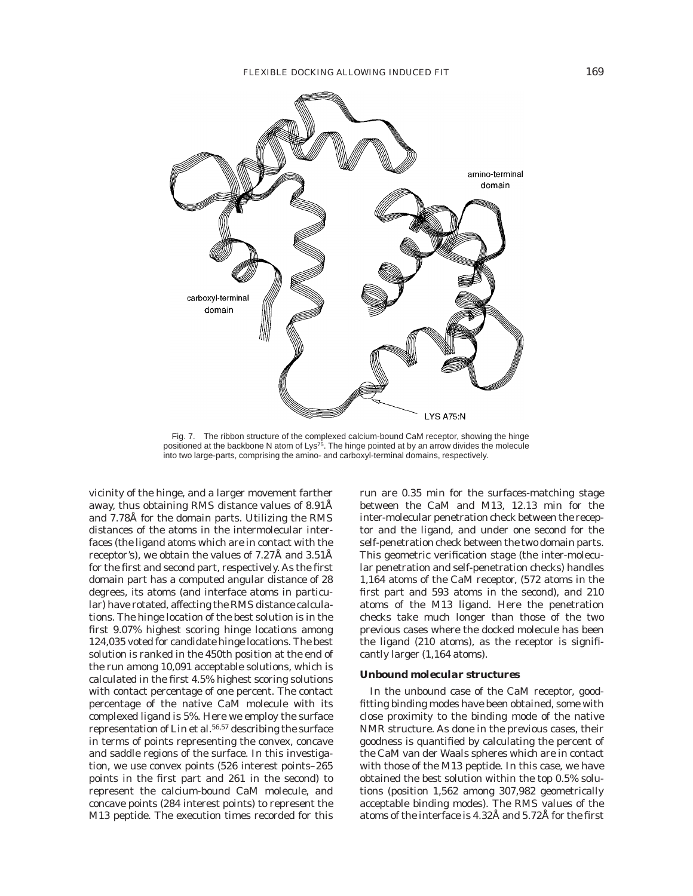

Fig. 7. The ribbon structure of the complexed calcium-bound CaM receptor, showing the hinge positioned at the backbone N atom of Lys<sup>75</sup>. The hinge pointed at by an arrow divides the molecule into two large-parts, comprising the amino- and carboxyl-terminal domains, respectively.

vicinity of the hinge, and a larger movement farther away, thus obtaining RMS distance values of 8.91Å and 7.78Å for the domain parts. Utilizing the RMS distances of the atoms in the intermolecular interfaces (the ligand atoms which are in contact with the receptor's), we obtain the values of 7.27Å and 3.51Å for the first and second part, respectively. As the first domain part has a computed angular distance of 28 degrees, its atoms (and interface atoms in particular) have rotated, affecting the RMS distance calculations. The hinge location of the best solution is in the first 9.07% highest scoring hinge locations among 124,035 voted for candidate hinge locations. The best solution is ranked in the 450th position at the end of the run among 10,091 acceptable solutions, which is calculated in the first 4.5% highest scoring solutions with contact percentage of one percent. The contact percentage of the native CaM molecule with its complexed ligand is 5%. Here we employ the surface representation of Lin et al.56,57 describing the surface in terms of points representing the convex, concave and saddle regions of the surface. In this investigation, we use convex points (526 interest points–265 points in the first part and 261 in the second) to represent the calcium-bound CaM molecule, and concave points (284 interest points) to represent the M13 peptide. The execution times recorded for this run are 0.35 min for the surfaces-matching stage between the CaM and M13, 12.13 min for the inter-molecular penetration check between the receptor and the ligand, and under one second for the self-penetration check between the two domain parts. This geometric verification stage (the inter-molecular penetration and self-penetration checks) handles 1,164 atoms of the CaM receptor, (572 atoms in the first part and 593 atoms in the second), and 210 atoms of the M13 ligand. Here the penetration checks take much longer than those of the two previous cases where the docked molecule has been the ligand (210 atoms), as the receptor is significantly larger (1,164 atoms).

## *Unbound molecular structures*

In the unbound case of the CaM receptor, goodfitting binding modes have been obtained, some with close proximity to the binding mode of the native NMR structure. As done in the previous cases, their goodness is quantified by calculating the percent of the CaM van der Waals spheres which are in contact with those of the M13 peptide. In this case, we have obtained the best solution within the top 0.5% solutions (position 1,562 among 307,982 geometrically acceptable binding modes). The RMS values of the atoms of the interface is 4.32Å and 5.72Å for the first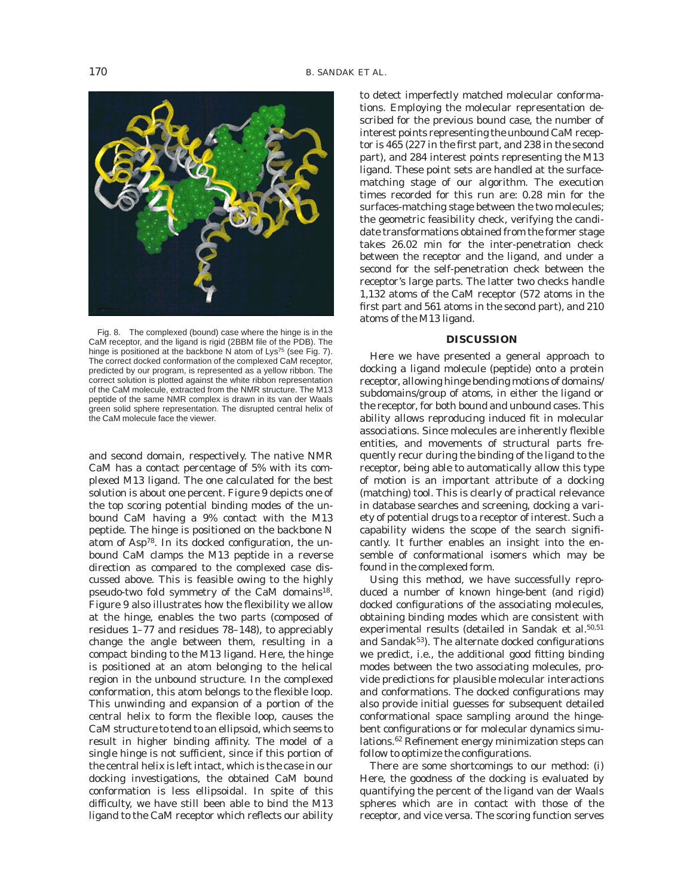

Fig. 8. The complexed (bound) case where the hinge is in the CaM receptor, and the ligand is rigid (2BBM file of the PDB). The hinge is positioned at the backbone N atom of Lys<sup>75</sup> (see Fig. 7). The correct docked conformation of the complexed CaM receptor, predicted by our program, is represented as a yellow ribbon. The correct solution is plotted against the white ribbon representation of the CaM molecule, extracted from the NMR structure. The M13 peptide of the same NMR complex is drawn in its van der Waals green solid sphere representation. The disrupted central helix of the CaM molecule face the viewer.

and second domain, respectively. The native NMR CaM has a contact percentage of 5% with its complexed M13 ligand. The one calculated for the best solution is about one percent. Figure 9 depicts one of the top scoring potential binding modes of the unbound CaM having a 9% contact with the M13 peptide. The hinge is positioned on the backbone N atom of Asp78. In its docked configuration, the unbound CaM clamps the M13 peptide in a reverse direction as compared to the complexed case discussed above. This is feasible owing to the highly pseudo-two fold symmetry of the CaM domains18. Figure 9 also illustrates how the flexibility we allow at the hinge, enables the two parts (composed of residues 1–77 and residues 78–148), to appreciably change the angle between them, resulting in a compact binding to the M13 ligand. Here, the hinge is positioned at an atom belonging to the helical region in the unbound structure. In the complexed conformation, this atom belongs to the flexible loop. This unwinding and expansion of a portion of the central helix to form the flexible loop, causes the CaM structure to tend to an ellipsoid, which seems to result in higher binding affinity. The model of a single hinge is not sufficient, since if this portion of the central helix is left intact, which is the case in our docking investigations, the obtained CaM bound conformation is less ellipsoidal. In spite of this difficulty, we have still been able to bind the M13 ligand to the CaM receptor which reflects our ability to detect imperfectly matched molecular conformations. Employing the molecular representation described for the previous bound case, the number of interest points representing the unbound CaM receptor is 465 (227 in the first part, and 238 in the second part), and 284 interest points representing the M13 ligand. These point sets are handled at the surfacematching stage of our algorithm. The execution times recorded for this run are: 0.28 min for the surfaces-matching stage between the two molecules; the geometric feasibility check, verifying the candidate transformations obtained from the former stage takes 26.02 min for the inter-penetration check between the receptor and the ligand, and under a second for the self-penetration check between the receptor's large parts. The latter two checks handle 1,132 atoms of the CaM receptor (572 atoms in the first part and 561 atoms in the second part), and 210 atoms of the M13 ligand.

# **DISCUSSION**

Here we have presented a general approach to docking a ligand molecule (peptide) onto a protein receptor, allowing hinge bending motions of domains/ subdomains/group of atoms, in either the ligand or the receptor, for both bound and unbound cases. This ability allows reproducing induced fit in molecular associations. Since molecules are inherently flexible entities, and movements of structural parts frequently recur during the binding of the ligand to the receptor, being able to automatically allow this type of motion is an important attribute of a docking (matching) tool. This is clearly of practical relevance in database searches and screening, docking a variety of potential drugs to a receptor of interest. Such a capability widens the scope of the search significantly. It further enables an insight into the ensemble of conformational isomers which may be found in the complexed form.

Using this method, we have successfully reproduced a number of known hinge-bent (and rigid) docked configurations of the associating molecules, obtaining binding modes which are consistent with experimental results (detailed in Sandak et al.<sup>50,51</sup> and Sandak53). The alternate docked configurations we predict, i.e., the additional good fitting binding modes between the two associating molecules, provide predictions for plausible molecular interactions and conformations. The docked configurations may also provide initial guesses for subsequent detailed conformational space sampling around the hingebent configurations or for molecular dynamics simulations.62 Refinement energy minimization steps can follow to optimize the configurations.

There are some shortcomings to our method: (*i*) Here, the goodness of the docking is evaluated by quantifying the percent of the ligand van der Waals spheres which are in contact with those of the receptor, and vice versa. The scoring function serves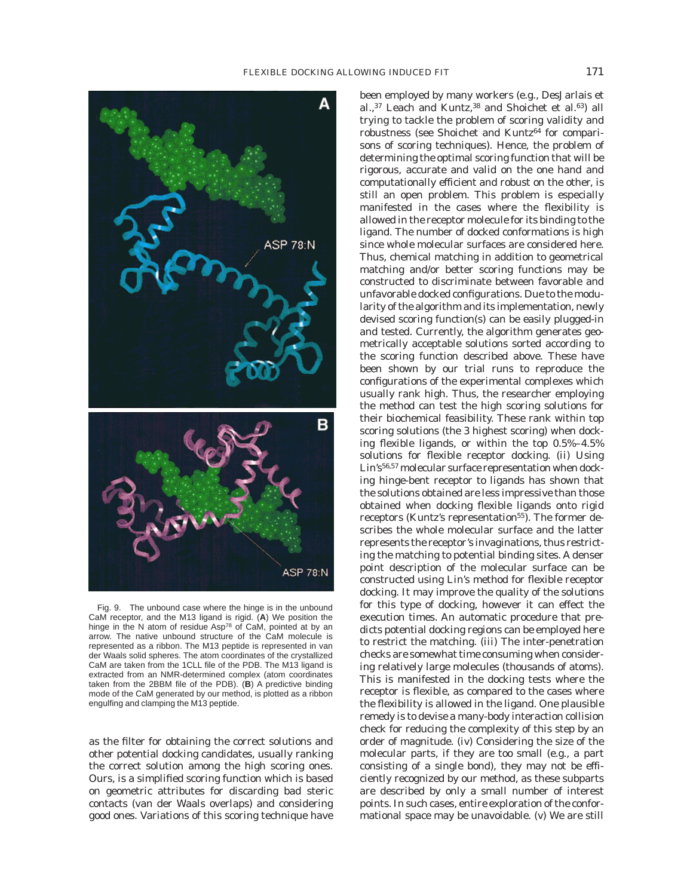

Fig. 9. The unbound case where the hinge is in the unbound CaM receptor, and the M13 ligand is rigid. (**A**) We position the hinge in the N atom of residue Asp<sup>78</sup> of CaM, pointed at by an arrow. The native unbound structure of the CaM molecule is represented as a ribbon. The M13 peptide is represented in van der Waals solid spheres. The atom coordinates of the crystallized CaM are taken from the 1CLL file of the PDB. The M13 ligand is extracted from an NMR-determined complex (atom coordinates taken from the 2BBM file of the PDB). (**B**) A predictive binding mode of the CaM generated by our method, is plotted as a ribbon engulfing and clamping the M13 peptide.

as the filter for obtaining the correct solutions and other potential docking candidates, usually ranking the correct solution among the high scoring ones. Ours, is a simplified scoring function which is based on geometric attributes for discarding bad steric contacts (van der Waals overlaps) and considering good ones. Variations of this scoring technique have

been employed by many workers (e.g., DesJarlais et al.,<sup>37</sup> Leach and Kuntz,<sup>38</sup> and Shoichet et al.<sup>63</sup>) all trying to tackle the problem of scoring validity and robustness (see Shoichet and Kuntz $64$  for comparisons of scoring techniques). Hence, the problem of determining the optimal scoring function that will be rigorous, accurate and valid on the one hand and computationally efficient and robust on the other, is still an open problem. This problem is especially manifested in the cases where the flexibility is allowed in the receptor molecule for its binding to the ligand. The number of docked conformations is high since whole molecular surfaces are considered here. Thus, chemical matching in addition to geometrical matching and/or better scoring functions may be constructed to discriminate between favorable and unfavorable docked configurations. Due to the modularity of the algorithm and its implementation, newly devised scoring function(s) can be easily plugged-in and tested. Currently, the algorithm generates geometrically acceptable solutions sorted according to the scoring function described above. These have been shown by our trial runs to reproduce the configurations of the experimental complexes which usually rank high. Thus, the researcher employing the method can test the high scoring solutions for their biochemical feasibility. These rank within top scoring solutions (the 3 highest scoring) when docking flexible ligands, or within the top 0.5%–4.5% solutions for flexible receptor docking. (*ii*) Using Lin's56,57 molecular surface representation when docking hinge-bent receptor to ligands has shown that the solutions obtained are less impressive than those obtained when docking flexible ligands onto rigid receptors (Kuntz's representation<sup>55</sup>). The former describes the whole molecular surface and the latter represents the receptor's invaginations, thus restricting the matching to potential binding sites. A denser point description of the molecular surface can be constructed using Lin's method for flexible receptor docking. It may improve the quality of the solutions for this type of docking, however it can effect the execution times. An automatic procedure that predicts potential docking regions can be employed here to restrict the matching. (*iii*) The inter-penetration checks are somewhat time consuming when considering relatively large molecules (thousands of atoms). This is manifested in the docking tests where the receptor is flexible, as compared to the cases where the flexibility is allowed in the ligand. One plausible remedy is to devise a many-body interaction collision check for reducing the complexity of this step by an order of magnitude. (*iv*) Considering the size of the molecular parts, if they are too small (e.g., a part consisting of a single bond), they may not be efficiently recognized by our method, as these subparts are described by only a small number of interest points. In such cases, entire exploration of the conformational space may be unavoidable. (*v*) We are still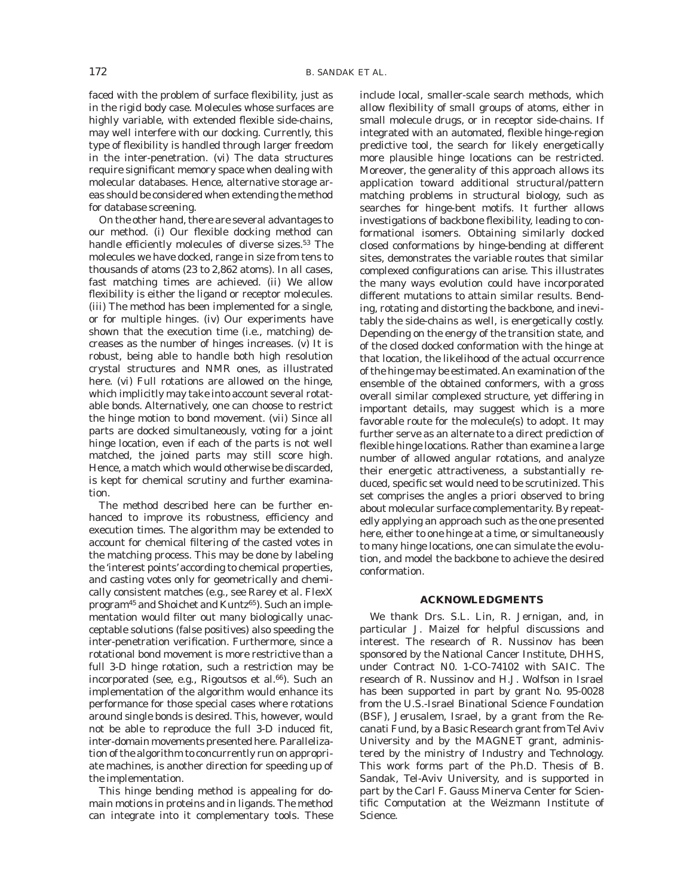faced with the problem of surface flexibility, just as in the rigid body case. Molecules whose surfaces are highly variable, with extended flexible side-chains, may well interfere with our docking. Currently, this type of flexibility is handled through larger freedom in the inter-penetration. (*vi*) The data structures require significant memory space when dealing with molecular databases. Hence, alternative storage areas should be considered when extending the method for database screening.

On the other hand, there are several advantages to our method. (*i*) Our flexible docking method can handle efficiently molecules of diverse sizes.<sup>53</sup> The molecules we have docked, range in size from tens to thousands of atoms (23 to 2,862 atoms). In all cases, fast matching times are achieved. (*ii*) We allow flexibility is either the ligand or receptor molecules. (*iii*) The method has been implemented for a single, or for multiple hinges. (*iv*) Our experiments have shown that the execution time (i.e., matching) decreases as the number of hinges increases. (*v*) It is robust, being able to handle both high resolution crystal structures and NMR ones, as illustrated here. (*vi*) Full rotations are allowed on the hinge, which implicitly may take into account several rotatable bonds. Alternatively, one can choose to restrict the hinge motion to bond movement. (*vii*) Since all parts are docked simultaneously, voting for a joint hinge location, even if each of the parts is not well matched, the joined parts may still score high. Hence, a match which would otherwise be discarded, is kept for chemical scrutiny and further examination.

The method described here can be further enhanced to improve its robustness, efficiency and execution times. The algorithm may be extended to account for chemical filtering of the casted votes in the matching process. This may be done by labeling the 'interest points' according to chemical properties, and casting votes only for geometrically and chemically consistent matches (e.g., see Rarey et al. FlexX program<sup>45</sup> and Shoichet and Kuntz<sup>65</sup>). Such an implementation would filter out many biologically unacceptable solutions (false positives) also speeding the inter-penetration verification. Furthermore, since a rotational bond movement is more restrictive than a full 3-D hinge rotation, such a restriction may be incorporated (see, e.g., Rigoutsos et al.<sup>66</sup>). Such an implementation of the algorithm would enhance its performance for those special cases where rotations around single bonds is desired. This, however, would not be able to reproduce the full 3-D induced fit, inter-domain movements presented here. Parallelization of the algorithm to concurrently run on appropriate machines, is another direction for speeding up of the implementation.

This hinge bending method is appealing for domain motions in proteins and in ligands. The method can integrate into it complementary tools. These include local, smaller-scale search methods, which allow flexibility of small groups of atoms, either in small molecule drugs, or in receptor side-chains. If integrated with an automated, flexible hinge-region predictive tool, the search for likely energetically more plausible hinge locations can be restricted. Moreover, the generality of this approach allows its application toward additional structural/pattern matching problems in structural biology, such as searches for hinge-bent motifs. It further allows investigations of backbone flexibility, leading to conformational isomers. Obtaining similarly docked closed conformations by hinge-bending at different sites, demonstrates the variable routes that similar complexed configurations can arise. This illustrates the many ways evolution could have incorporated different mutations to attain similar results. Bending, rotating and distorting the backbone, and inevitably the side-chains as well, is energetically costly. Depending on the energy of the transition state, and of the closed docked conformation with the hinge at that location, the likelihood of the actual occurrence of the hinge may be estimated. An examination of the ensemble of the obtained conformers, with a gross overall similar complexed structure, yet differing in important details, may suggest which is a more favorable route for the molecule(s) to adopt. It may further serve as an alternate to a direct prediction of flexible hinge locations. Rather than examine a large number of allowed angular rotations, and analyze their energetic attractiveness, a substantially reduced, specific set would need to be scrutinized. This set comprises the angles a priori observed to bring about molecular surface complementarity. By repeatedly applying an approach such as the one presented here, either to one hinge at a time, or simultaneously to many hinge locations, one can simulate the evolution, and model the backbone to achieve the desired conformation.

# **ACKNOWLEDGMENTS**

We thank Drs. S.L. Lin, R. Jernigan, and, in particular J. Maizel for helpful discussions and interest. The research of R. Nussinov has been sponsored by the National Cancer Institute, DHHS, under Contract N0. 1-CO-74102 with SAIC. The research of R. Nussinov and H.J. Wolfson in Israel has been supported in part by grant No. 95-0028 from the U.S.-Israel Binational Science Foundation (BSF), Jerusalem, Israel, by a grant from the Recanati Fund, by a Basic Research grant from Tel Aviv University and by the MAGNET grant, administered by the ministry of Industry and Technology. This work forms part of the Ph.D. Thesis of B. Sandak, Tel-Aviv University, and is supported in part by the Carl F. Gauss Minerva Center for Scientific Computation at the Weizmann Institute of Science.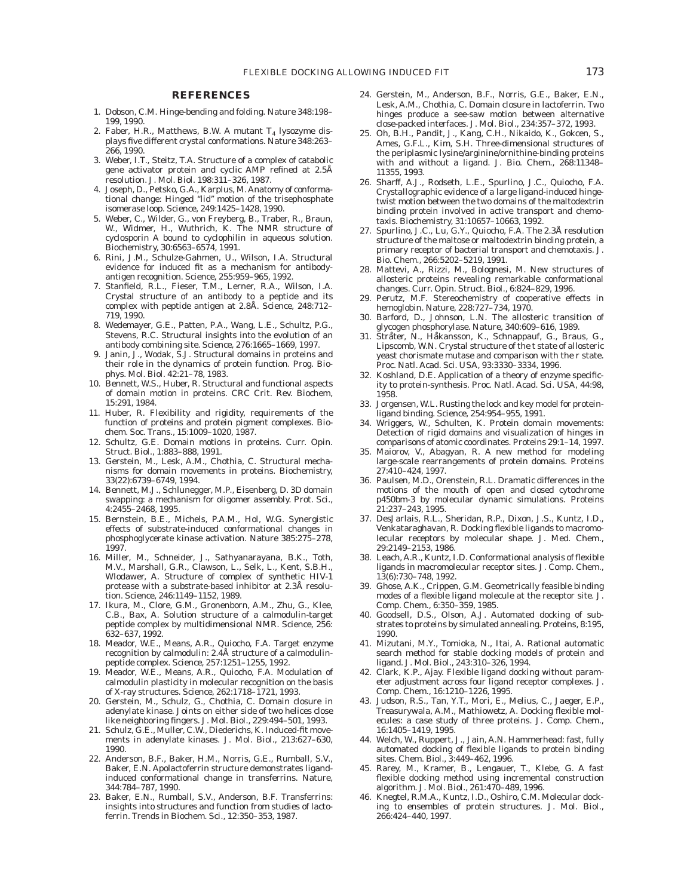## **REFERENCES**

- 1. Dobson, C.M. Hinge-bending and folding. Nature 348:198– 199, 1990.
- 2. Faber, H.R., Matthews, B.W. A mutant  $T_4$  lysozyme displays five different crystal conformations. Nature 348:263– 266, 1990.
- 3. Weber, I.T., Steitz, T.A. Structure of a complex of catabolic gene activator protein and cyclic AMP refined at 2.5Å resolution. J. Mol. Biol. 198:311–326, 1987.
- 4. Joseph, D., Petsko, G.A., Karplus, M. Anatomy of conformational change: Hinged ''lid'' motion of the trisephosphate isomerase loop. Science, 249:1425–1428, 1990.
- 5. Weber, C., Wilder, G., von Freyberg, B., Traber, R., Braun, W., Widmer, H., Wuthrich, K. The NMR structure of cyclosporin A bound to cyclophilin in aqueous solution. Biochemistry, 30:6563–6574, 1991.
- 6. Rini, J.M., Schulze-Gahmen, U., Wilson, I.A. Structural evidence for induced fit as a mechanism for antibodyantigen recognition. Science, 255:959–965, 1992.
- 7. Stanfield, R.L., Fieser, T.M., Lerner, R.A., Wilson, I.A. Crystal structure of an antibody to a peptide and its complex with peptide antigen at 2.8Å. Science, 248:712– 719, 1990.
- 8. Wedemayer, G.E., Patten, P.A., Wang, L.E., Schultz, P.G., Stevens, R.C. Structural insights into the evolution of an antibody combining site. Science, 276:1665–1669, 1997.
- 9. Janin, J., Wodak, S.J. Structural domains in proteins and their role in the dynamics of protein function. Prog. Biophys. Mol. Biol. 42:21–78, 1983.
- 10. Bennett, W.S., Huber, R. Structural and functional aspects of domain motion in proteins. CRC Crit. Rev. Biochem, 15:291, 1984.
- 11. Huber, R. Flexibility and rigidity, requirements of the function of proteins and protein pigment complexes. Biochem. Soc. Trans., 15:1009–1020, 1987.
- 12. Schultz, G.E. Domain motions in proteins. Curr. Opin. Struct. Biol., 1:883–888, 1991.
- 13. Gerstein, M., Lesk, A.M., Chothia, C. Structural mechanisms for domain movements in proteins. Biochemistry, 33(22):6739–6749, 1994.
- 14. Bennett, M.J., Schlunegger, M.P., Eisenberg, D. 3D domain swapping: a mechanism for oligomer assembly. Prot. Sci., 4:2455–2468, 1995.
- 15. Bernstein, B.E., Michels, P.A.M., Hol, W.G. Synergistic effects of substrate-induced conformational changes in phosphoglycerate kinase activation. Nature 385:275–278, 1997.
- 16. Miller, M., Schneider, J., Sathyanarayana, B.K., Toth, M.V., Marshall, G.R., Clawson, L., Selk, L., Kent, S.B.H., Wlodawer, A. Structure of complex of synthetic HIV-1 protease with a substrate-based inhibitor at 2.3Å resolution. Science, 246:1149–1152, 1989.
- 17. Ikura, M., Clore, G.M., Gronenborn, A.M., Zhu, G., Klee, C.B., Bax, A. Solution structure of a calmodulin-target peptide complex by multidimensional NMR. Science, 256: 632–637, 1992.
- 18. Meador, W.E., Means, A.R., Quiocho, F.A. Target enzyme recognition by calmodulin: 2.4Å structure of a calmodulinpeptide complex. Science, 257:1251–1255, 1992.
- 19. Meador, W.E., Means, A.R., Quiocho, F.A. Modulation of calmodulin plasticity in molecular recognition on the basis of X-ray structures. Science, 262:1718–1721, 1993.
- 20. Gerstein, M., Schulz, G., Chothia, C. Domain closure in adenylate kinase. Joints on either side of two helices close like neighboring fingers. J. Mol. Biol., 229:494–501, 1993.
- 21. Schulz, G.E., Muller, C.W., Diederichs, K. Induced-fit movements in adenylate kinases. J. Mol. Biol., 213:627–630, 1990.
- 22. Anderson, B.F., Baker, H.M., Norris, G.E., Rumball, S.V., Baker, E.N. Apolactoferrin structure demonstrates ligandinduced conformational change in transferrins. Nature, 344:784–787, 1990.
- 23. Baker, E.N., Rumball, S.V., Anderson, B.F. Transferrins: insights into structures and function from studies of lactoferrin. Trends in Biochem. Sci., 12:350–353, 1987.
- 24. Gerstein, M., Anderson, B.F., Norris, G.E., Baker, E.N., Lesk, A.M., Chothia, C. Domain closure in lactoferrin. Two hinges produce a see-saw motion between alternative close-packed interfaces. J. Mol. Biol., 234:357–372, 1993.
- 25. Oh, B.H., Pandit, J., Kang, C.H., Nikaido, K., Gokcen, S., Ames, G.F.L., Kim, S.H. Three-dimensional structures of the periplasmic lysine/arginine/ornithine-binding proteins with and without a ligand. J. Bio. Chem., 268:11348– 11355, 1993.
- 26. Sharff, A.J., Rodseth, L.E., Spurlino, J.C., Quiocho, F.A. Crystallographic evidence of a large ligand-induced hingetwist motion between the two domains of the maltodextrin binding protein involved in active transport and chemotaxis. Biochemistry, 31:10657–10663, 1992.
- 27. Spurlino, J.C., Lu, G.Y., Quiocho, F.A. The 2.3Å resolution structure of the maltose or maltodextrin binding protein, a primary receptor of bacterial transport and chemotaxis. J. Bio. Chem., 266:5202–5219, 1991.
- 28. Mattevi, A., Rizzi, M., Bolognesi, M. New structures of allosteric proteins revealing remarkable conformational changes. Curr. Opin. Struct. Biol., 6:824–829, 1996.
- 29. Perutz, M.F. Stereochemistry of cooperative effects in hemoglobin. Nature, 228:727–734, 1970.
- 30. Barford, D., Johnson, L.N. The allosteric transition of glycogen phosphorylase. Nature, 340:609–616, 1989.
- 31. Stråter, N., Håkansson, K., Schnappauf, G., Braus, G., Lipscomb, W.N. Crystal structure of the t state of allosteric yeast chorismate mutase and comparison with the r state. Proc. Natl. Acad. Sci. USA, 93:3330–3334, 1996.
- 32. Koshland, D.E. Application of a theory of enzyme specificity to protein-synthesis. Proc. Natl. Acad. Sci. USA, 44:98, 1958.
- 33. Jorgensen, W.L. Rusting the lock and key model for proteinligand binding. Science, 254:954–955, 1991.
- 34. Wriggers, W., Schulten, K. Protein domain movements: Detection of rigid domains and visualization of hinges in comparisons of atomic coordinates. Proteins 29:1–14, 1997.
- 35. Maiorov, V., Abagyan, R. A new method for modeling large-scale rearrangements of protein domains. Proteins 27:410–424, 1997.
- 36. Paulsen, M.D., Orenstein, R.L. Dramatic differences in the motions of the mouth of open and closed cytochrome p450bm-3 by molecular dynamic simulations. Proteins 21:237–243, 1995.
- 37. DesJarlais, R.L., Sheridan, R.P., Dixon, J.S., Kuntz, I.D., Venkataraghavan, R. Docking flexible ligands to macromolecular receptors by molecular shape. J. Med. Chem., 29:2149–2153, 1986.
- 38. Leach, A.R., Kuntz, I.D. Conformational analysis of flexible ligands in macromolecular receptor sites. J. Comp. Chem., 13(6):730–748, 1992.
- 39. Ghose, A.K., Crippen, G.M. Geometrically feasible binding modes of a flexible ligand molecule at the receptor site. J. Comp. Chem., 6:350–359, 1985.
- 40. Goodsell, D.S., Olson, A.J. Automated docking of substrates to proteins by simulated annealing. Proteins, 8:195, 1990.
- 41. Mizutani, M.Y., Tomioka, N., Itai, A. Rational automatic search method for stable docking models of protein and ligand. J. Mol. Biol., 243:310–326, 1994.
- 42. Clark, K.P., Ajay. Flexible ligand docking without parameter adjustment across four ligand receptor complexes. J. Comp. Chem., 16:1210–1226, 1995.
- 43. Judson, R.S., Tan, Y.T., Mori, E., Melius, C., Jaeger, E.P., Treasurywala, A.M., Mathiowetz, A. Docking flexible molecules: a case study of three proteins. J. Comp. Chem., 16:1405–1419, 1995.
- 44. Welch, W., Ruppert, J., Jain, A.N. Hammerhead: fast, fully automated docking of flexible ligands to protein binding sites. Chem. Biol., 3:449–462, 1996.
- 45. Rarey, M., Kramer, B., Lengauer, T., Klebe, G. A fast flexible docking method using incremental construction algorithm. J. Mol. Biol., 261:470–489, 1996.
- 46. Knegtel, R.M.A., Kuntz, I.D., Oshiro, C.M. Molecular docking to ensembles of protein structures. J. Mol. Biol., 266:424–440, 1997.